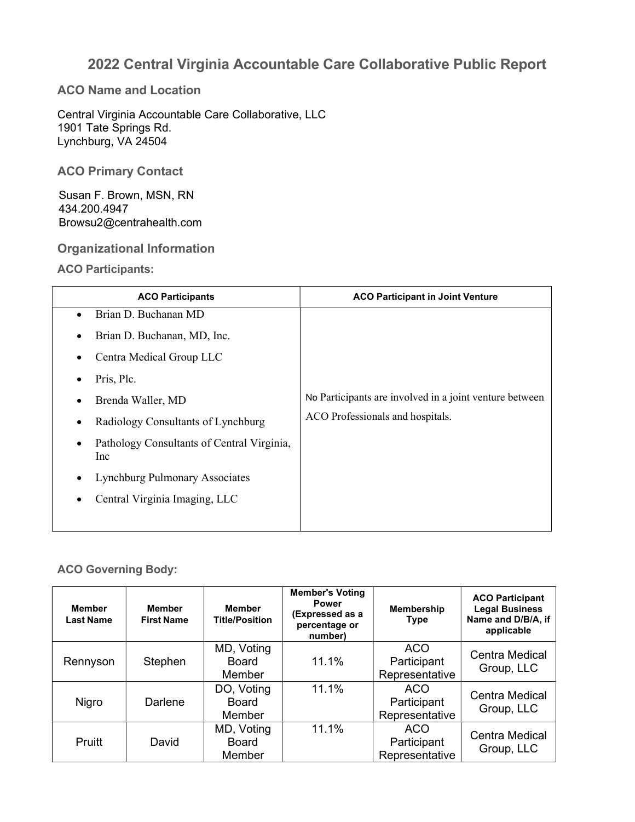# 2022 Central Virginia Accountable Care Collaborative Public Report

ACO Name and Location

Central Virginia Accountable Care Collaborative, LLC 1901 Tate Springs Rd. Lynchburg, VA 24504

ACO Primary Contact

 Susan F. Brown, MSN, RN 434.200.4947 Browsu2@centrahealth.com

Organizational Information

ACO Participants:

| <b>ACO Participants</b>                           | <b>ACO Participant in Joint Venture</b>                 |
|---------------------------------------------------|---------------------------------------------------------|
| Brian D. Buchanan MD                              |                                                         |
| Brian D. Buchanan, MD, Inc.                       |                                                         |
| Centra Medical Group LLC                          |                                                         |
| Pris, Plc.                                        |                                                         |
| Brenda Waller, MD                                 | No Participants are involved in a joint venture between |
| Radiology Consultants of Lynchburg                | ACO Professionals and hospitals.                        |
| Pathology Consultants of Central Virginia,<br>Inc |                                                         |
| <b>Lynchburg Pulmonary Associates</b>             |                                                         |
| Central Virginia Imaging, LLC                     |                                                         |
|                                                   |                                                         |

#### ACO Governing Body:

| <b>Member</b><br><b>Last Name</b> | <b>Member</b><br><b>First Name</b> | <b>Member</b><br><b>Title/Position</b> | <b>Member's Voting</b><br><b>Power</b><br>(Expressed as a<br>percentage or<br>number) | <b>Membership</b><br><b>Type</b>            | <b>ACO Participant</b><br><b>Legal Business</b><br>Name and D/B/A, if<br>applicable |
|-----------------------------------|------------------------------------|----------------------------------------|---------------------------------------------------------------------------------------|---------------------------------------------|-------------------------------------------------------------------------------------|
| Rennyson                          | Stephen                            | MD, Voting<br>Board<br>Member          | 11.1%                                                                                 | <b>ACO</b><br>Participant<br>Representative | <b>Centra Medical</b><br>Group, LLC                                                 |
| Nigro                             | Darlene                            | DO, Voting<br><b>Board</b><br>Member   | 11.1%                                                                                 | <b>ACO</b><br>Participant<br>Representative | <b>Centra Medical</b><br>Group, LLC                                                 |
| Pruitt                            | David                              | MD, Voting<br>Board<br>Member          | 11.1%                                                                                 | <b>ACO</b><br>Participant<br>Representative | Centra Medical<br>Group, LLC                                                        |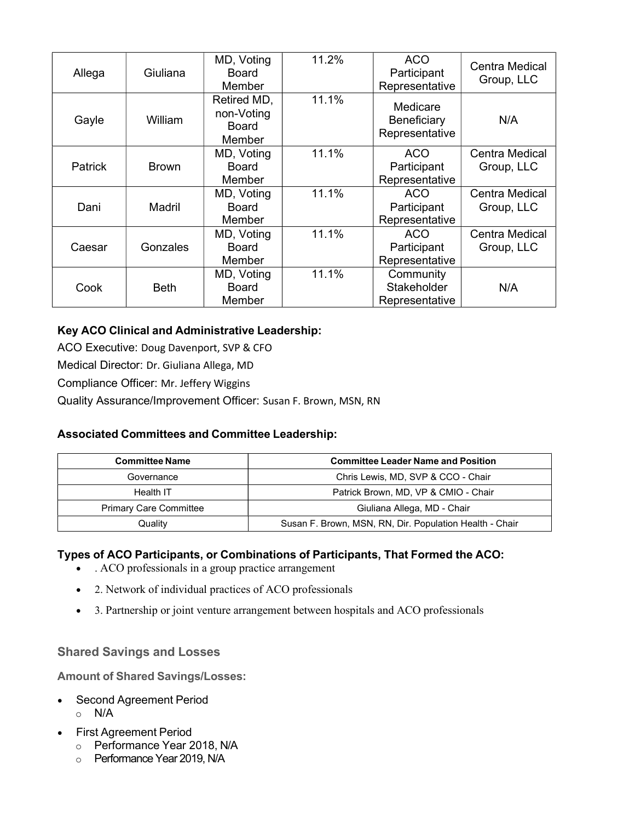| Allega         | Giuliana        | MD, Voting<br>Board<br>Member                | 11.2% | <b>ACO</b><br>Participant<br>Representative | Centra Medical<br>Group, LLC        |
|----------------|-----------------|----------------------------------------------|-------|---------------------------------------------|-------------------------------------|
| Gayle          | William         | Retired MD,<br>non-Voting<br>Board<br>Member | 11.1% | Medicare<br>Beneficiary<br>Representative   | N/A                                 |
| <b>Patrick</b> | <b>Brown</b>    | MD, Voting<br>Board<br>Member                | 11.1% | ACO<br>Participant<br>Representative        | <b>Centra Medical</b><br>Group, LLC |
| Dani           | <b>Madril</b>   | MD, Voting<br>Board<br>Member                | 11.1% | <b>ACO</b><br>Participant<br>Representative | Centra Medical<br>Group, LLC        |
| Caesar         | <b>Gonzales</b> | MD, Voting<br>Board<br>Member                | 11.1% | <b>ACO</b><br>Participant<br>Representative | Centra Medical<br>Group, LLC        |
| Cook           | <b>Beth</b>     | MD, Voting<br><b>Board</b><br>Member         | 11.1% | Community<br>Stakeholder<br>Representative  | N/A                                 |

## Key ACO Clinical and Administrative Leadership:

ACO Executive: Doug Davenport, SVP & CFO

Medical Director: Dr. Giuliana Allega, MD

Compliance Officer: Mr. Jeffery Wiggins

Quality Assurance/Improvement Officer: Susan F. Brown, MSN, RN

## Associated Committees and Committee Leadership:

| <b>Committee Name</b>         | <b>Committee Leader Name and Position</b>               |
|-------------------------------|---------------------------------------------------------|
| Governance                    | Chris Lewis, MD, SVP & CCO - Chair                      |
| Health IT                     | Patrick Brown, MD, VP & CMIO - Chair                    |
| <b>Primary Care Committee</b> | Giuliana Allega, MD - Chair                             |
| Quality                       | Susan F. Brown, MSN, RN, Dir. Population Health - Chair |

### Types of ACO Participants, or Combinations of Participants, That Formed the ACO:

- . ACO professionals in a group practice arrangement
- 2. Network of individual practices of ACO professionals
- 3. Partnership or joint venture arrangement between hospitals and ACO professionals

## Shared Savings and Losses

Amount of Shared Savings/Losses:

- Second Agreement Period o N/A
- First Agreement Period
	- o Performance Year 2018, N/A
	- o Performance Year 2019, N/A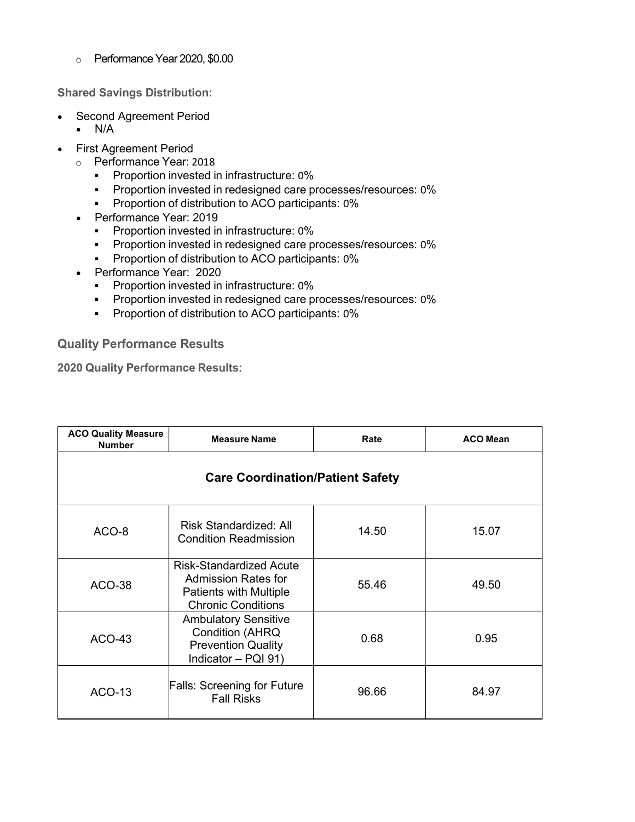o Performance Year 2020, \$0.00

Shared Savings Distribution:

- Second Agreement Period
	- $\bullet$  N/A
- First Agreement Period
	- o Performance Year: 2018
		- **•** Proportion invested in infrastructure: 0%
		- **Proportion invested in redesigned care processes/resources: 0%**
		- **•** Proportion of distribution to ACO participants: 0%
	- Performance Year: 2019
		- **Proportion invested in infrastructure: 0%**
		- **Proportion invested in redesigned care processes/resources: 0%**
		- **Proportion of distribution to ACO participants: 0%**
	- Performance Year: 2020
		- **•** Proportion invested in infrastructure: 0%
		- **Proportion invested in redesigned care processes/resources: 0%**
		- **•** Proportion of distribution to ACO participants: 0%

Quality Performance Results

2020 Quality Performance Results:

| <b>ACO Quality Measure</b><br><b>Number</b> | <b>Measure Name</b>                                                                                                 | Rate  | <b>ACO Mean</b> |  |  |
|---------------------------------------------|---------------------------------------------------------------------------------------------------------------------|-------|-----------------|--|--|
| <b>Care Coordination/Patient Safety</b>     |                                                                                                                     |       |                 |  |  |
| ACO-8                                       | <b>Risk Standardized: All</b><br><b>Condition Readmission</b>                                                       | 14.50 | 15.07           |  |  |
| <b>ACO-38</b>                               | <b>Risk-Standardized Acute</b><br>Admission Rates for<br><b>Patients with Multiple</b><br><b>Chronic Conditions</b> | 55.46 | 49.50           |  |  |
| <b>ACO-43</b>                               | <b>Ambulatory Sensitive</b><br><b>Condition (AHRQ</b><br><b>Prevention Quality</b><br>Indicator - PQI 91)           | 0.68  | 0.95            |  |  |
| <b>ACO-13</b>                               | <b>Falls: Screening for Future</b><br><b>Fall Risks</b>                                                             | 96.66 | 84.97           |  |  |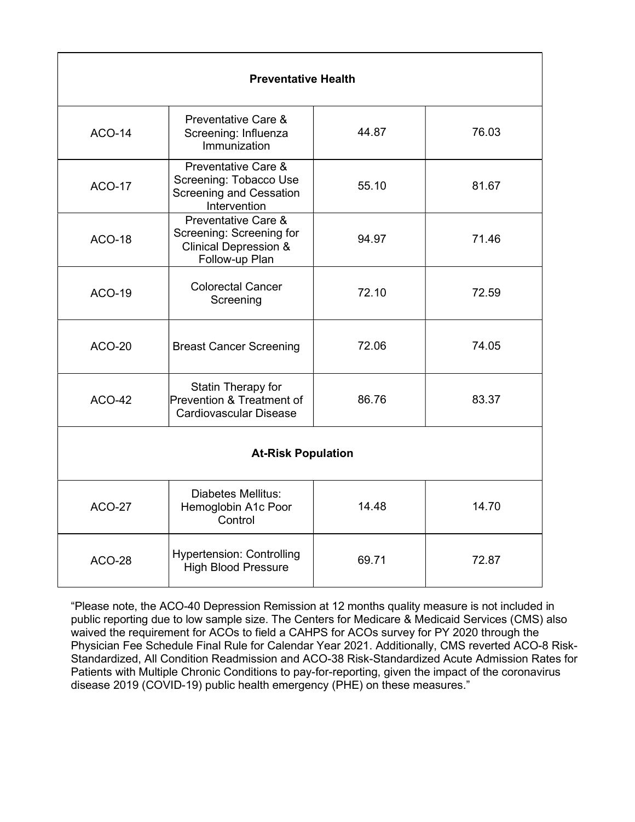| <b>Preventative Health</b> |                                                                                                          |       |       |  |
|----------------------------|----------------------------------------------------------------------------------------------------------|-------|-------|--|
| <b>ACO-14</b>              | Preventative Care &<br>Screening: Influenza<br>Immunization                                              | 44.87 | 76.03 |  |
| <b>ACO-17</b>              | Preventative Care &<br>Screening: Tobacco Use<br>55.10<br><b>Screening and Cessation</b><br>Intervention |       | 81.67 |  |
| <b>ACO-18</b>              | Preventative Care &<br>Screening: Screening for<br><b>Clinical Depression &amp;</b><br>Follow-up Plan    | 94.97 | 71.46 |  |
| <b>ACO-19</b>              | <b>Colorectal Cancer</b><br>Screening                                                                    | 72.10 | 72.59 |  |
| <b>ACO-20</b>              | <b>Breast Cancer Screening</b>                                                                           | 72.06 | 74.05 |  |
| <b>ACO-42</b>              | Statin Therapy for<br>Prevention & Treatment of<br>Cardiovascular Disease                                | 86.76 | 83.37 |  |
| <b>At-Risk Population</b>  |                                                                                                          |       |       |  |
| <b>ACO-27</b>              | <b>Diabetes Mellitus:</b><br>Hemoglobin A1c Poor<br>Control                                              | 14.48 | 14.70 |  |
| <b>ACO-28</b>              | <b>Hypertension: Controlling</b><br><b>High Blood Pressure</b>                                           | 69.71 | 72.87 |  |

"Please note, the ACO-40 Depression Remission at 12 months quality measure is not included in public reporting due to low sample size. The Centers for Medicare & Medicaid Services (CMS) also waived the requirement for ACOs to field a CAHPS for ACOs survey for PY 2020 through the Physician Fee Schedule Final Rule for Calendar Year 2021. Additionally, CMS reverted ACO-8 Risk-Standardized, All Condition Readmission and ACO-38 Risk-Standardized Acute Admission Rates for Patients with Multiple Chronic Conditions to pay-for-reporting, given the impact of the coronavirus disease 2019 (COVID-19) public health emergency (PHE) on these measures."